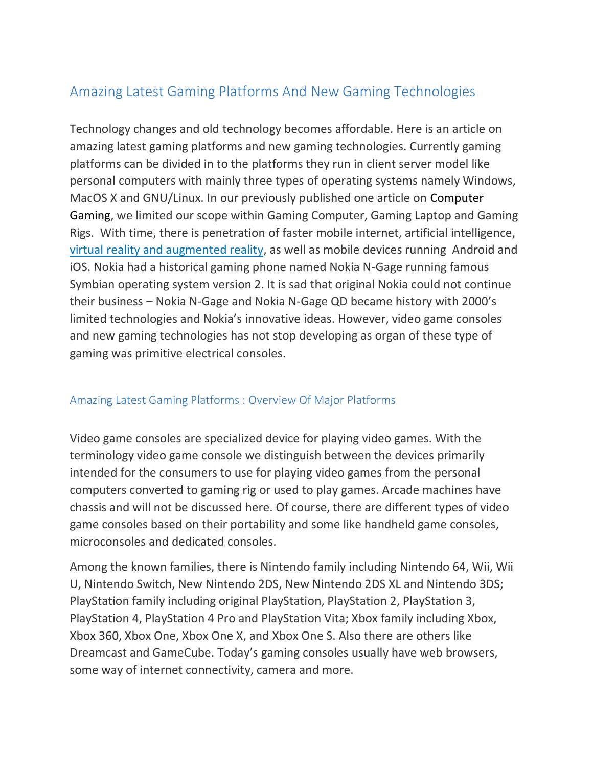# Amazing Latest Gaming Platforms And New Gaming Technologies

Technology changes and old technology becomes affordable. Here is an article on amazing latest gaming platforms and new gaming technologies. Currently gaming platforms can be divided in to the platforms they run in client server model like personal computers with mainly three types of operating systems namely Windows, MacOS X and GNU/Linux. In our previously published one article on Computer Gaming, we limited our scope within Gaming Computer, Gaming Laptop and Gaming Rigs. With time, there is penetration of faster mobile internet, artificial intelligence, [virtual reality and augmented reality,](https://thecustomizewindows.com/2016/05/virtual-reality-versus-augmented-reality/) as well as mobile devices running Android and iOS. Nokia had a historical gaming phone named Nokia N-Gage running famous Symbian operating system version 2. It is sad that original Nokia could not continue their business – Nokia N-Gage and Nokia N-Gage QD became history with 2000's limited technologies and Nokia's innovative ideas. However, video game consoles and new gaming technologies has not stop developing as organ of these type of gaming was primitive electrical consoles.

## Amazing Latest Gaming Platforms : Overview Of Major Platforms

Video game consoles are specialized device for playing video games. With the terminology video game console we distinguish between the devices primarily intended for the consumers to use for playing video games from the personal computers converted to gaming rig or used to play games. Arcade machines have chassis and will not be discussed here. Of course, there are different types of video game consoles based on their portability and some like handheld game consoles, microconsoles and dedicated consoles.

Among the known families, there is Nintendo family including Nintendo 64, Wii, Wii U, Nintendo Switch, New Nintendo 2DS, New Nintendo 2DS XL and Nintendo 3DS; PlayStation family including original PlayStation, PlayStation 2, PlayStation 3, PlayStation 4, PlayStation 4 Pro and PlayStation Vita; Xbox family including Xbox, Xbox 360, Xbox One, Xbox One X, and Xbox One S. Also there are others like Dreamcast and GameCube. Today's gaming consoles usually have web browsers, some way of internet connectivity, camera and more.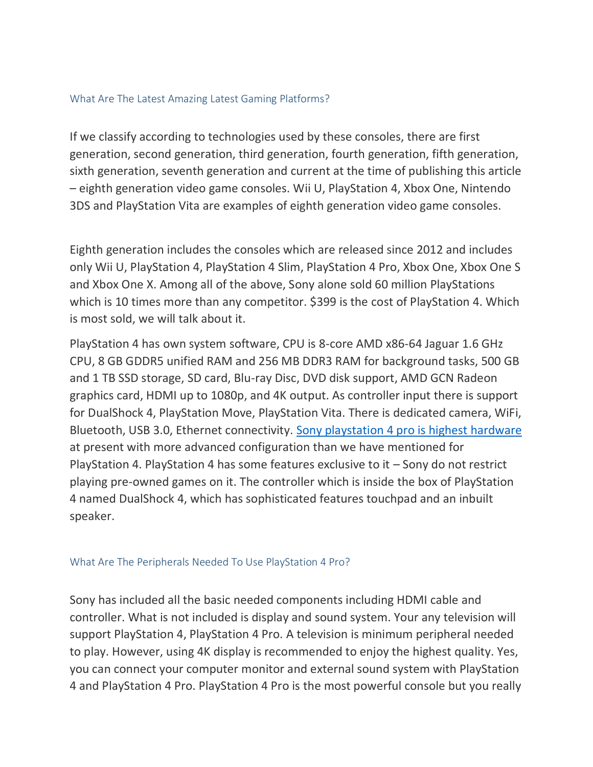### What Are The Latest Amazing Latest Gaming Platforms?

If we classify according to technologies used by these consoles, there are first generation, second generation, third generation, fourth generation, fifth generation, sixth generation, seventh generation and current at the time of publishing this article – eighth generation video game consoles. Wii U, PlayStation 4, Xbox One, Nintendo 3DS and PlayStation Vita are examples of eighth generation video game consoles.

Eighth generation includes the consoles which are released since 2012 and includes only Wii U, PlayStation 4, PlayStation 4 Slim, PlayStation 4 Pro, Xbox One, Xbox One S and Xbox One X. Among all of the above, Sony alone sold 60 million PlayStations which is 10 times more than any competitor. \$399 is the cost of PlayStation 4. Which is most sold, we will talk about it.

PlayStation 4 has own system software, CPU is 8-core AMD x86-64 Jaguar 1.6 GHz CPU, 8 GB GDDR5 unified RAM and 256 MB DDR3 RAM for background tasks, 500 GB and 1 TB SSD storage, SD card, Blu-ray Disc, DVD disk support, AMD GCN Radeon graphics card, HDMI up to 1080p, and 4K output. As controller input there is support for DualShock 4, PlayStation Move, PlayStation Vita. There is dedicated camera, WiFi, Bluetooth, USB 3.0, Ethernet connectivity. [Sony playstation 4 pro is highest hardware](https://www.playstation.com/en-in/explore/ps4/ps4-pro/) at present with more advanced configuration than we have mentioned for PlayStation 4. PlayStation 4 has some features exclusive to it – Sony do not restrict playing pre-owned games on it. The controller which is inside the box of PlayStation 4 named DualShock 4, which has sophisticated features touchpad and an inbuilt speaker.

## What Are The Peripherals Needed To Use PlayStation 4 Pro?

Sony has included all the basic needed components including HDMI cable and controller. What is not included is display and sound system. Your any television will support PlayStation 4, PlayStation 4 Pro. A television is minimum peripheral needed to play. However, using 4K display is recommended to enjoy the highest quality. Yes, you can connect your computer monitor and external sound system with PlayStation 4 and PlayStation 4 Pro. PlayStation 4 Pro is the most powerful console but you really